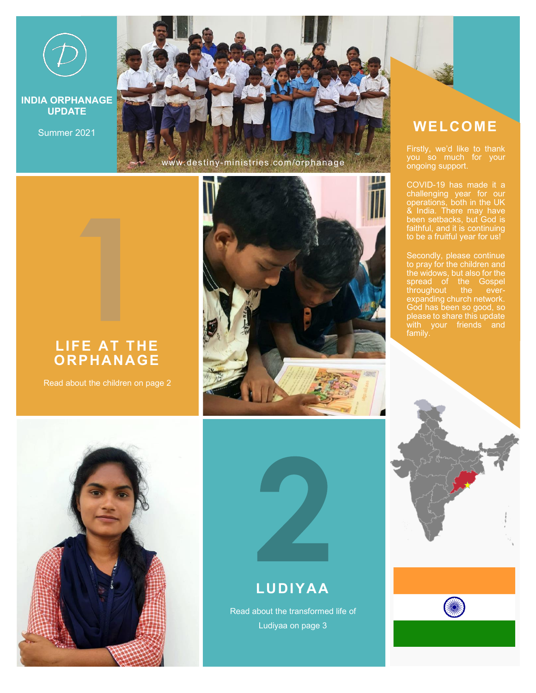

**INDIA ORPHANAGE UPDATE**

[www.destiny-ministries.com/orphanage](http://www.destiny-ministries.com/orphanage)

#### **LIFE AT THE ORPHANAGE**

Read about the children on page 2







### **LUDIYAA**

Read about the transformed life of Ludiyaa on page 3

## Summer 2021 **WELCOME**

Firstly, we'd like to thank you so much for your ongoing support.

COVID-19 has made it a challenging year for our operations, both in the UK & India. There may have been setbacks, but God is faithful, and it is continuing to be a fruitful year for us!

Secondly, please continue to pray for the children and the widows, but also for the spread of the Gospel throughout the everexpanding church network. God has been so good, so please to share this update with your friends and



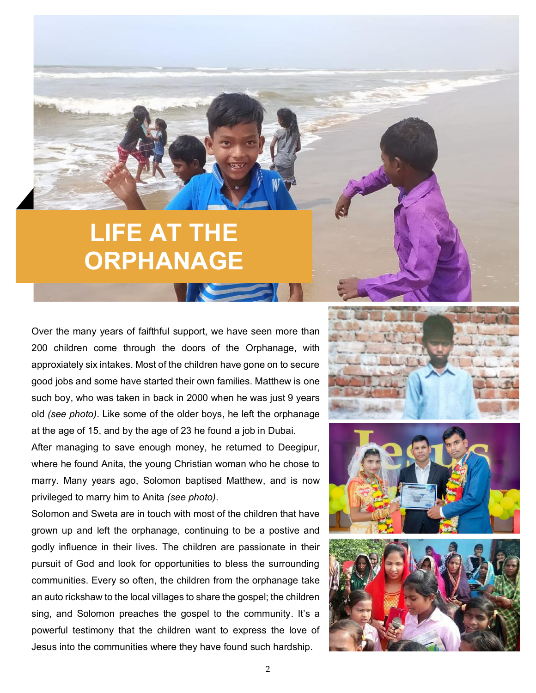# **LIFE AT THE ORPHANAGE**

Over the many years of faifthful support, we have seen more than 200 children come through the doors of the Orphanage, with approxiately six intakes. Most of the children have gone on to secure good jobs and some have started their own families. Matthew is one such boy, who was taken in back in 2000 when he was just 9 years old *(see photo)*. Like some of the older boys, he left the orphanage at the age of 15, and by the age of 23 he found a job in Dubai.

After managing to save enough money, he returned to Deegipur, where he found Anita, the young Christian woman who he chose to marry. Many years ago, Solomon baptised Matthew, and is now privileged to marry him to Anita *(see photo)*.

Solomon and Sweta are in touch with most of the children that have grown up and left the orphanage, continuing to be a postive and godly influence in their lives. The children are passionate in their pursuit of God and look for opportunities to bless the surrounding communities. Every so often, the children from the orphanage take an auto rickshaw to the local villages to share the gospel; the children sing, and Solomon preaches the gospel to the community. It's a powerful testimony that the children want to express the love of Jesus into the communities where they have found such hardship.





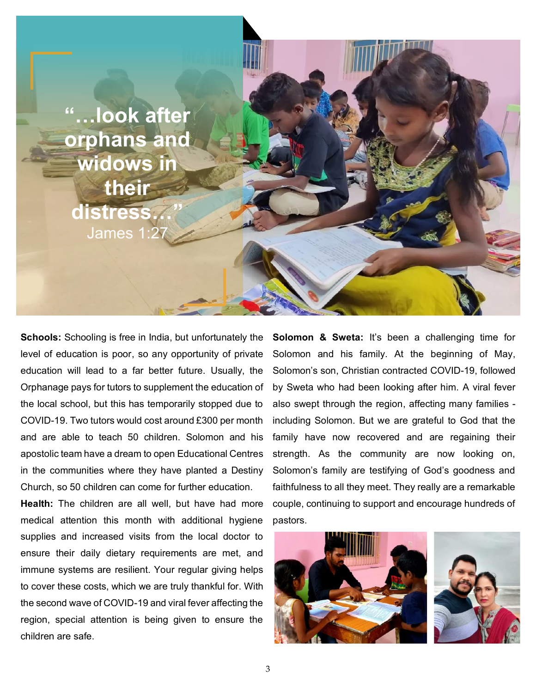

**Schools:** Schooling is free in India, but unfortunately the level of education is poor, so any opportunity of private education will lead to a far better future. Usually, the Orphanage pays for tutors to supplement the education of the local school, but this has temporarily stopped due to COVID-19. Two tutors would cost around £300 per month and are able to teach 50 children. Solomon and his apostolic team have a dream to open Educational Centres in the communities where they have planted a Destiny Church, so 50 children can come for further education.

**Health:** The children are all well, but have had more medical attention this month with additional hygiene supplies and increased visits from the local doctor to ensure their daily dietary requirements are met, and immune systems are resilient. Your regular giving helps to cover these costs, which we are truly thankful for. With the second wave of COVID-19 and viral fever affecting the region, special attention is being given to ensure the children are safe.

**Solomon & Sweta:** It's been a challenging time for Solomon and his family. At the beginning of May, Solomon's son, Christian contracted COVID-19, followed by Sweta who had been looking after him. A viral fever also swept through the region, affecting many families including Solomon. But we are grateful to God that the family have now recovered and are regaining their strength. As the community are now looking on, Solomon's family are testifying of God's goodness and faithfulness to all they meet. They really are a remarkable couple, continuing to support and encourage hundreds of pastors.